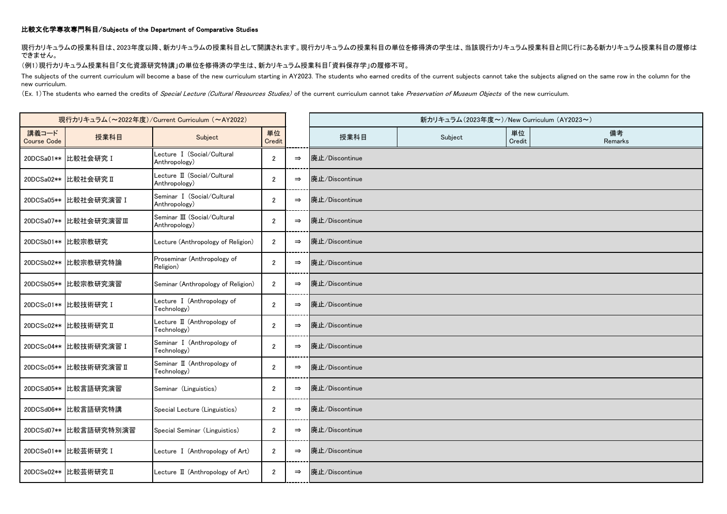## 比較文化学専攻専門科目/Subjects of the Department of Comparative Studies

現行カリキュラムの授業科目は、2023年度以降、新カリキュラムの授業科目として開講されます。現行カリキュラムの授業科目の単位を修得済の学生は、当該現行カリキュラム授業科目と同じ行にある新カリキュラム授業科目の履修は できません。

## (例1)現行カリキュラム授業科目「文化資源研究特講」の単位を修得済の学生は、新カリキュラム授業科目「資料保存学」の履修不可。

The subjects of the current curriculum will become a base of the new curriculum starting in AY2023. The students who earned credits of the current subjects cannot take the subjects aligned on the same row in the column for new curriculum.

(Ex. 1) The students who earned the credits of Special Lecture (Cultural Resources Studies) of the current curriculum cannot take Preservation of Museum Objects of the new curriculum.

| 現行カリキュラム (~2022年度)/Current Curriculum (~AY2022) |                        |                                               |                |               | 新カリキュラム(2023年度~)/New Curriculum (AY2023~) |         |              |               |
|-------------------------------------------------|------------------------|-----------------------------------------------|----------------|---------------|-------------------------------------------|---------|--------------|---------------|
| 講義コード<br><b>Course Code</b>                     | 授業科目                   | Subject                                       | 単位<br>Credit   |               | 授業科目                                      | Subject | 単位<br>Credit | 備考<br>Remarks |
|                                                 | 20DCSa01** 比較社会研究 I    | Lecture I (Social/Cultural<br>Anthropology)   | $\overline{2}$ | $\Rightarrow$ | 廃止/Discontinue                            |         |              |               |
|                                                 | 20DCSa02** 比較社会研究 II   | Lecture II (Social/Cultural<br>Anthropology)  | $\overline{2}$ | $\Rightarrow$ | 廃止/Discontinue                            |         |              |               |
|                                                 | 20DCSa05** 比較社会研究演習 I  | Seminar I (Social/Cultural<br>Anthropology)   | $\overline{2}$ | $\Rightarrow$ | 廃止/Discontinue                            |         |              |               |
|                                                 | 20DCSa07** 比較社会研究演習Ⅲ   | Seminar III (Social/Cultural<br>Anthropology) | $\overline{2}$ | $\Rightarrow$ | 廃止/Discontinue                            |         |              |               |
|                                                 | 20DCSb01** 比較宗教研究      | Lecture (Anthropology of Religion)            | $\overline{2}$ | $\Rightarrow$ | 廃止/Discontinue                            |         |              |               |
|                                                 | 20DCSb02** 比較宗教研究特論    | Proseminar (Anthropology of<br>Religion)      | $\overline{2}$ | $\Rightarrow$ | 廃止/Discontinue                            |         |              |               |
|                                                 | 20DCSb05** 比較宗教研究演習    | Seminar (Anthropology of Religion)            | $\overline{2}$ | $\Rightarrow$ | 廃止/Discontinue                            |         |              |               |
|                                                 | 20DCSc01** 比較技術研究 I    | Lecture I (Anthropology of<br>Technology)     | $\overline{2}$ | $\Rightarrow$ | 廃止/Discontinue                            |         |              |               |
|                                                 | 20DCSc02** 比較技術研究 II   | Lecture II (Anthropology of<br>Technology)    | $\overline{2}$ | $\Rightarrow$ | 廃止/Discontinue                            |         |              |               |
|                                                 | 20DCSc04** 比較技術研究演習 I  | Seminar I (Anthropology of<br>Technology)     | $\overline{2}$ | $\Rightarrow$ | 廃止/Discontinue                            |         |              |               |
|                                                 | 20DCSc05** 比較技術研究演習 II | Seminar II (Anthropology of<br>Technology)    | $\overline{2}$ | $\Rightarrow$ | 廃止/Discontinue                            |         |              |               |
|                                                 | 20DCSd05** 比較言語研究演習    | Seminar (Linguistics)                         | $\overline{2}$ | $\Rightarrow$ | 廃止/Discontinue                            |         |              |               |
|                                                 | 20DCSd06** 比較言語研究特講    | Special Lecture (Linguistics)                 | $\overline{2}$ | $\Rightarrow$ | 廃止/Discontinue                            |         |              |               |
|                                                 | 20DCSd07** 比較言語研究特別演習  | Special Seminar (Linguistics)                 | $\overline{2}$ | $\Rightarrow$ | 廃止/Discontinue                            |         |              |               |
|                                                 | 20DCSe01** 比較芸術研究 I    | Lecture I (Anthropology of Art)               | $\overline{2}$ | $\Rightarrow$ | 廃止/Discontinue                            |         |              |               |
|                                                 | 20DCSe02** 比較芸術研究 II   | Lecture II (Anthropology of Art)              | $\overline{2}$ | $\Rightarrow$ | 廃止/Discontinue                            |         |              |               |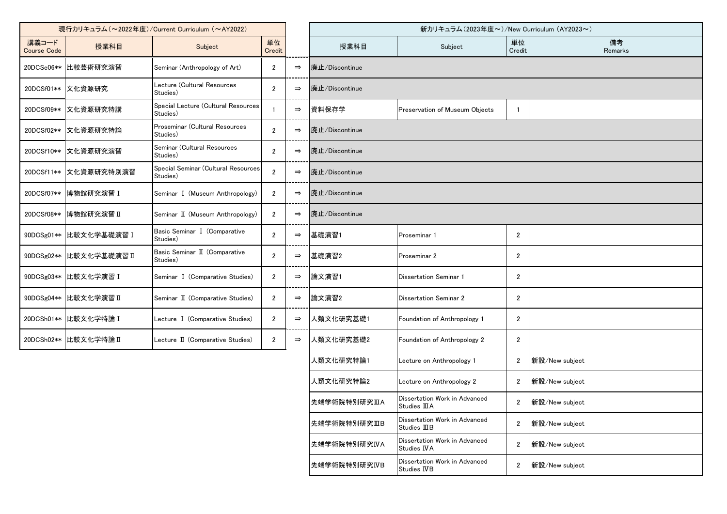| 現行カリキュラム (~2022年度)/Current Curriculum (~AY2022) |                         |                                                 |                |               | 新カリキュラム(2023年度~)/New Curriculum (AY2023~) |                                                |                |                |
|-------------------------------------------------|-------------------------|-------------------------------------------------|----------------|---------------|-------------------------------------------|------------------------------------------------|----------------|----------------|
| 講義コード<br><b>Course Code</b>                     | 授業科目                    | Subject                                         | 単位<br>Credit   |               | 授業科目                                      | Subject                                        | 単位<br>Credit   | 備考<br>Remarks  |
| 20DCSe06**                                      | 比較芸術研究演習                | Seminar (Anthropology of Art)                   | 2              | $\Rightarrow$ | 廃止/Discontinue                            |                                                |                |                |
| 20DCSf01**                                      | 文化資源研究                  | Lecture (Cultural Resources<br>Studies)         | $\overline{2}$ | $\Rightarrow$ | 廃止/Discontinue                            |                                                |                |                |
| 20DCSf09**                                      | 文化資源研究特講                | Special Lecture (Cultural Resources<br>Studies) |                | $\Rightarrow$ | 資料保存学                                     | Preservation of Museum Objects                 | -1             |                |
|                                                 | 20DCSf02**  文化資源研究特論    | Proseminar (Cultural Resources<br>Studies)      | $\overline{2}$ | $\Rightarrow$ | 廃止/Discontinue                            |                                                |                |                |
| 20DCSf10**                                      | 文化資源研究演習                | Seminar (Cultural Resources<br>Studies)         | $\overline{2}$ | $\Rightarrow$ | 廃止/Discontinue                            |                                                |                |                |
| 20DCSf11**                                      | 文化資源研究特別演習              | Special Seminar (Cultural Resources<br>Studies) | $\overline{2}$ | $\Rightarrow$ | 廃止/Discontinue                            |                                                |                |                |
| 20DCSf07**                                      | 博物館研究演習 I               | Seminar I (Museum Anthropology)                 | $\overline{2}$ | $\Rightarrow$ | 廃止/Discontinue                            |                                                |                |                |
| 20DCSf08**                                      | 博物館研究演習 II              | Seminar II (Museum Anthropology)                | $\overline{2}$ | $\Rightarrow$ | 廃止/Discontinue                            |                                                |                |                |
|                                                 | 90DCSg01** 比較文化学基礎演習 I  | Basic Seminar I (Comparative<br>Studies)        | $\overline{2}$ | $\Rightarrow$ | 基礎演習1                                     | Proseminar 1                                   | $\overline{2}$ |                |
|                                                 | 90DCSg02** 比較文化学基礎演習 II | Basic Seminar II (Comparative<br>Studies)       | $\overline{2}$ | $\Rightarrow$ | 基礎演習2                                     | Proseminar 2                                   | $\mathbf{2}$   |                |
|                                                 | 90DCSg03** 比較文化学演習 I    | Seminar I (Comparative Studies)                 | $\mathbf{2}$   | $\Rightarrow$ | 論文演習1                                     | <b>Dissertation Seminar 1</b>                  | $\mathbf{2}$   |                |
|                                                 | 90DCSg04** 比較文化学演習 II   | Seminar II (Comparative Studies)                | $\overline{2}$ | $\Rightarrow$ | 論文演習2                                     | <b>Dissertation Seminar 2</b>                  | $\mathbf{2}$   |                |
|                                                 | 20DCSh01** 比較文化学特論 I    | Lecture I (Comparative Studies)                 | $\overline{2}$ | $\Rightarrow$ | 人類文化研究基礎1                                 | Foundation of Anthropology 1                   | $\overline{2}$ |                |
|                                                 | 20DCSh02** 比較文化学特論 II   | Lecture II (Comparative Studies)                | $\mathbf{2}$   | $\Rightarrow$ | 人類文化研究基礎2                                 | Foundation of Anthropology 2                   | $\overline{2}$ |                |
|                                                 |                         |                                                 |                |               | 人類文化研究特論1                                 | Lecture on Anthropology 1                      | $\overline{2}$ | 新設/New subject |
|                                                 |                         |                                                 |                |               | 人類文化研究特論2                                 | Lecture on Anthropology 2                      | $\overline{2}$ | 新設/New subject |
|                                                 |                         |                                                 |                |               | 先端学術院特別研究ⅢA                               | Dissertation Work in Advanced<br>Studies III A | $\mathbf{2}$   | 新設/New subject |
|                                                 |                         |                                                 |                |               | 先端学術院特別研究ⅢB                               | Dissertation Work in Advanced<br>Studies IIIB  | $\overline{2}$ | 新設/New subject |
|                                                 |                         |                                                 |                |               | 先端学術院特別研究IVA                              | Dissertation Work in Advanced<br>Studies IVA   | $\overline{2}$ | 新設/New subject |
|                                                 |                         |                                                 |                |               | 先端学術院特別研究IVB                              | Dissertation Work in Advanced<br>Studies IVB   | $\sqrt{2}$     | 新設/New subject |